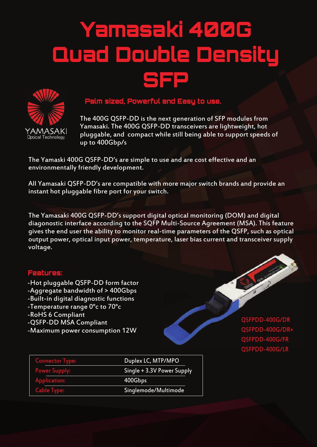## Yamasaki 400G Quad Double Density SFP



## Palm sized, Powerful and Easy to use.

The 400G QSFP-DD is the next generation of SFP modules from Yamasaki. The 400G QSFP-DD transceivers are lightweight, hot pluggable, and compact while still being able to support speeds of up to 400Gbp/s

The Yamaski 400G QSFP-DD's are simple to use and are cost effective and an environmentally friendly development.

All Yamasaki QSFP-DD's are compatible with more major switch brands and provide an instant hot pluggable fibre port for your switch.

The Yamasaki 400G QSFP-DD's support digital optical monitoring (DOM) and digital diagonostic interface according to the SQFP Multi-Source Agreement (MSA). This feature gives the end user the ability to monitor real-time parameters of the QSFP, such as optical output power, optical input power, temperature, laser bias current and transceiver supply voltage.

## Features:

- -Hot pluggable QSFP-DD form factor -Aggregate bandwidth of > 400Gbps -Built-in digital diagnostic functions -Temperature range 0°c to 70°c -RoHS 6 Compliant
- -QSFP-DD MSA Compliant
- -Maximum power consumption 12W

QSFPDD-400G/DR QSFPDD-400G/DR+ QSFPDD-400G/FR QSFPDD-400G/LR

| <b>Connector Type:</b> | Duplex LC, MTP/MPO         |  |  |  |
|------------------------|----------------------------|--|--|--|
| <b>Power Supply:</b>   | Single + 3.3V Power Supply |  |  |  |
| Application:           | 400Gbps                    |  |  |  |
| <b>Cable Type:</b>     | Singlemode/Multimode       |  |  |  |